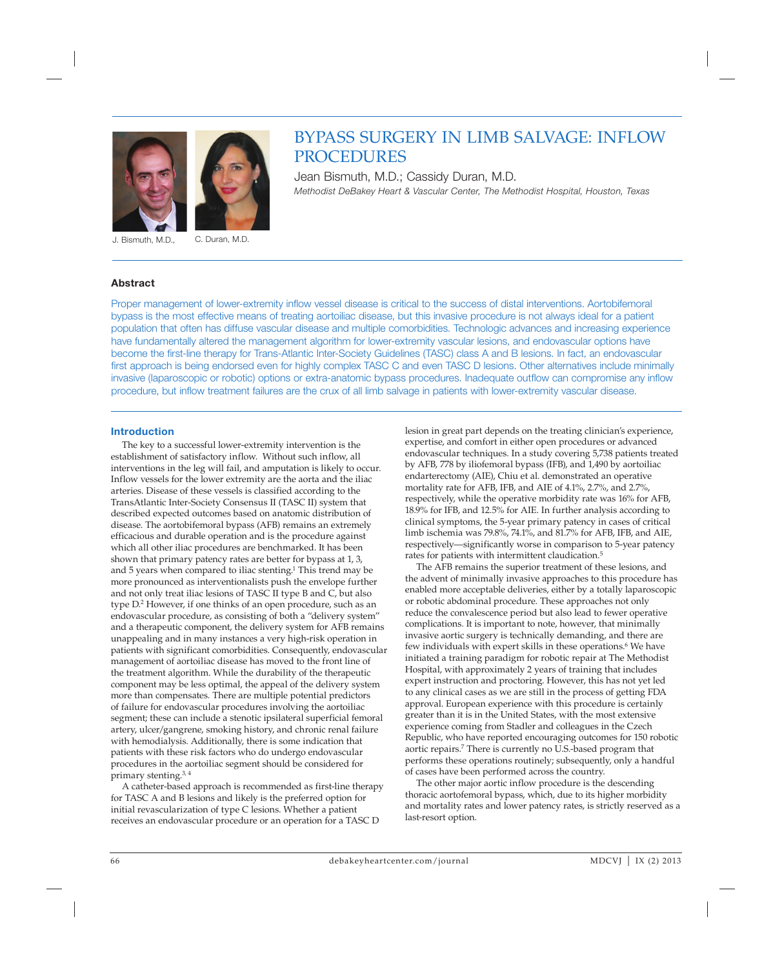



J. Bismuth, M.D., C. Duran, M.D.

# **Abstract**

BYPASS SURGERY IN LIMB SALVAGE: INFLOW PROCEDURES

Jean Bismuth, M.D.; Cassidy Duran, M.D. *Methodist DeBakey Heart & Vascular Center, The Methodist Hospital, Houston, Texas* 

Proper management of lower-extremity inflow vessel disease is critical to the success of distal interventions. Aortobifemoral bypass is the most effective means of treating aortoiliac disease, but this invasive procedure is not always ideal for a patient population that often has diffuse vascular disease and multiple comorbidities. Technologic advances and increasing experience have fundamentally altered the management algorithm for lower-extremity vascular lesions, and endovascular options have become the first-line therapy for Trans-Atlantic Inter-Society Guidelines (TASC) class A and B lesions. In fact, an endovascular first approach is being endorsed even for highly complex TASC C and even TASC D lesions. Other alternatives include minimally invasive (laparoscopic or robotic) options or extra-anatomic bypass procedures. Inadequate outflow can compromise any inflow procedure, but inflow treatment failures are the crux of all limb salvage in patients with lower-extremity vascular disease.

### **Introduction**

The key to a successful lower-extremity intervention is the establishment of satisfactory inflow. Without such inflow, all interventions in the leg will fail, and amputation is likely to occur. Inflow vessels for the lower extremity are the aorta and the iliac arteries. Disease of these vessels is classified according to the TransAtlantic Inter-Society Consensus II (TASC II) system that described expected outcomes based on anatomic distribution of disease. The aortobifemoral bypass (AFB) remains an extremely efficacious and durable operation and is the procedure against which all other iliac procedures are benchmarked. It has been shown that primary patency rates are better for bypass at 1, 3, and 5 years when compared to iliac stenting.<sup>1</sup> This trend may be more pronounced as interventionalists push the envelope further and not only treat iliac lesions of TASC II type B and C, but also type D.<sup>2</sup> However, if one thinks of an open procedure, such as an endovascular procedure, as consisting of both a "delivery system" and a therapeutic component, the delivery system for AFB remains unappealing and in many instances a very high-risk operation in patients with significant comorbidities. Consequently, endovascular management of aortoiliac disease has moved to the front line of the treatment algorithm. While the durability of the therapeutic component may be less optimal, the appeal of the delivery system more than compensates. There are multiple potential predictors of failure for endovascular procedures involving the aortoiliac segment; these can include a stenotic ipsilateral superficial femoral artery, ulcer/gangrene, smoking history, and chronic renal failure with hemodialysis. Additionally, there is some indication that patients with these risk factors who do undergo endovascular procedures in the aortoiliac segment should be considered for primary stenting.3, 4

A catheter-based approach is recommended as first-line therapy for TASC A and B lesions and likely is the preferred option for initial revascularization of type C lesions. Whether a patient receives an endovascular procedure or an operation for a TASC D

lesion in great part depends on the treating clinician's experience, expertise, and comfort in either open procedures or advanced endovascular techniques. In a study covering 5,738 patients treated by AFB, 778 by iliofemoral bypass (IFB), and 1,490 by aortoiliac endarterectomy (AIE), Chiu et al. demonstrated an operative mortality rate for AFB, IFB, and AIE of 4.1%, 2.7%, and 2.7%, respectively, while the operative morbidity rate was 16% for AFB, 18.9% for IFB, and 12.5% for AIE. In further analysis according to clinical symptoms, the 5-year primary patency in cases of critical limb ischemia was 79.8%, 74.1%, and 81.7% for AFB, IFB, and AIE, respectively—significantly worse in comparison to 5-year patency rates for patients with intermittent claudication.5

The AFB remains the superior treatment of these lesions, and the advent of minimally invasive approaches to this procedure has enabled more acceptable deliveries, either by a totally laparoscopic or robotic abdominal procedure. These approaches not only reduce the convalescence period but also lead to fewer operative complications. It is important to note, however, that minimally invasive aortic surgery is technically demanding, and there are few individuals with expert skills in these operations.<sup>6</sup> We have initiated a training paradigm for robotic repair at The Methodist Hospital, with approximately 2 years of training that includes expert instruction and proctoring. However, this has not yet led to any clinical cases as we are still in the process of getting FDA approval. European experience with this procedure is certainly greater than it is in the United States, with the most extensive experience coming from Stadler and colleagues in the Czech Republic, who have reported encouraging outcomes for 150 robotic aortic repairs.7 There is currently no U.S.-based program that performs these operations routinely; subsequently, only a handful of cases have been performed across the country.

The other major aortic inflow procedure is the descending thoracic aortofemoral bypass, which, due to its higher morbidity and mortality rates and lower patency rates, is strictly reserved as a last-resort option.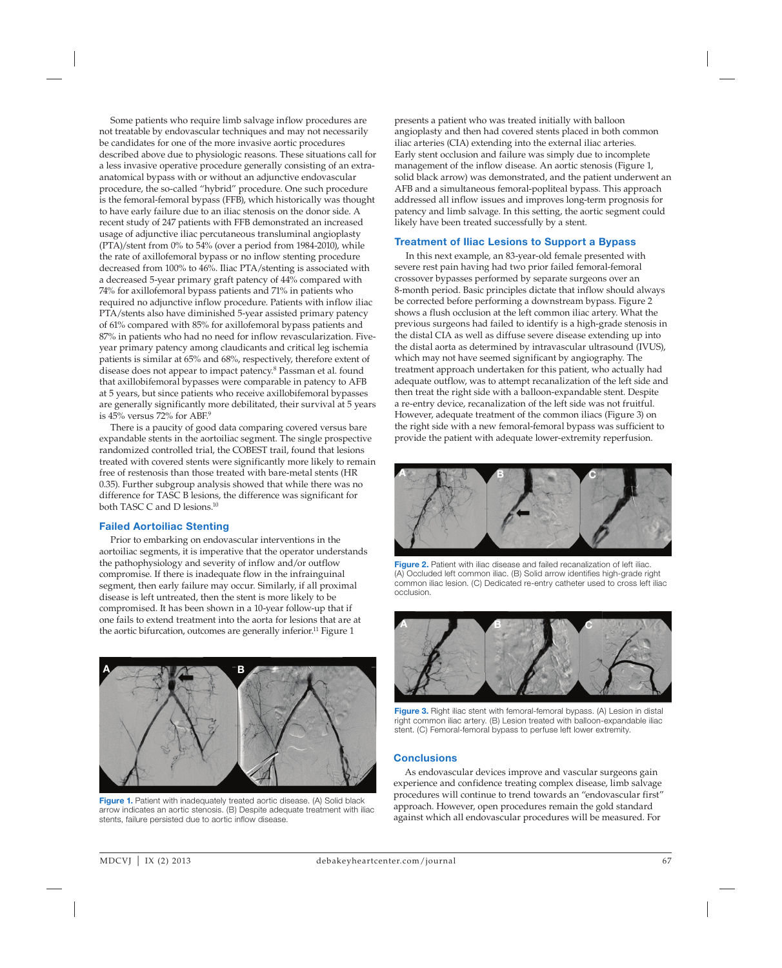Some patients who require limb salvage inflow procedures are not treatable by endovascular techniques and may not necessarily be candidates for one of the more invasive aortic procedures described above due to physiologic reasons. These situations call for a less invasive operative procedure generally consisting of an extraanatomical bypass with or without an adjunctive endovascular procedure, the so-called "hybrid" procedure. One such procedure is the femoral-femoral bypass (FFB), which historically was thought to have early failure due to an iliac stenosis on the donor side. A recent study of 247 patients with FFB demonstrated an increased usage of adjunctive iliac percutaneous transluminal angioplasty (PTA)/stent from 0% to 54% (over a period from 1984-2010), while the rate of axillofemoral bypass or no inflow stenting procedure decreased from 100% to 46%. Iliac PTA/stenting is associated with a decreased 5-year primary graft patency of 44% compared with 74% for axillofemoral bypass patients and 71% in patients who required no adjunctive inflow procedure. Patients with inflow iliac PTA/stents also have diminished 5-year assisted primary patency of 61% compared with 85% for axillofemoral bypass patients and 87% in patients who had no need for inflow revascularization. Fiveyear primary patency among claudicants and critical leg ischemia patients is similar at 65% and 68%, respectively, therefore extent of disease does not appear to impact patency.8 Passman et al. found that axillobifemoral bypasses were comparable in patency to AFB at 5 years, but since patients who receive axillobifemoral bypasses are generally significantly more debilitated, their survival at 5 years is 45% versus 72% for ABF.<sup>9</sup>

There is a paucity of good data comparing covered versus bare expandable stents in the aortoiliac segment. The single prospective randomized controlled trial, the COBEST trail, found that lesions treated with covered stents were significantly more likely to remain free of restenosis than those treated with bare-metal stents (HR 0.35). Further subgroup analysis showed that while there was no difference for TASC B lesions, the difference was significant for both TASC C and D lesions.10

### **Failed Aortoiliac Stenting**

Prior to embarking on endovascular interventions in the aortoiliac segments, it is imperative that the operator understands the pathophysiology and severity of inflow and/or outflow compromise. If there is inadequate flow in the infrainguinal segment, then early failure may occur. Similarly, if all proximal disease is left untreated, then the stent is more likely to be compromised. It has been shown in a 10-year follow-up that if one fails to extend treatment into the aorta for lesions that are at the aortic bifurcation, outcomes are generally inferior.<sup>11</sup> Figure 1



**Figure 1.** Patient with inadequately treated aortic disease. (A) Solid black arrow indicates an aortic stenosis. (B) Despite adequate treatment with iliac stents, failure persisted due to aortic inflow disease.

presents a patient who was treated initially with balloon angioplasty and then had covered stents placed in both common iliac arteries (CIA) extending into the external iliac arteries. Early stent occlusion and failure was simply due to incomplete management of the inflow disease. An aortic stenosis (Figure 1, solid black arrow) was demonstrated, and the patient underwent an AFB and a simultaneous femoral-popliteal bypass. This approach addressed all inflow issues and improves long-term prognosis for patency and limb salvage. In this setting, the aortic segment could likely have been treated successfully by a stent.

# **Treatment of Iliac Lesions to Support a Bypass**

In this next example, an 83-year-old female presented with severe rest pain having had two prior failed femoral-femoral crossover bypasses performed by separate surgeons over an 8-month period. Basic principles dictate that inflow should always be corrected before performing a downstream bypass. Figure 2 shows a flush occlusion at the left common iliac artery. What the previous surgeons had failed to identify is a high-grade stenosis in the distal CIA as well as diffuse severe disease extending up into the distal aorta as determined by intravascular ultrasound (IVUS), which may not have seemed significant by angiography. The treatment approach undertaken for this patient, who actually had adequate outflow, was to attempt recanalization of the left side and then treat the right side with a balloon-expandable stent. Despite a re-entry device, recanalization of the left side was not fruitful. However, adequate treatment of the common iliacs (Figure 3) on the right side with a new femoral-femoral bypass was sufficient to provide the patient with adequate lower-extremity reperfusion.



Figure 2. Patient with iliac disease and failed recanalization of left iliac. (A) Occluded left common iliac. (B) Solid arrow identifies high-grade right common iliac lesion. (C) Dedicated re-entry catheter used to cross left iliac occlusion.



**Figure 3.** Right iliac stent with femoral-femoral bypass. (A) Lesion in distal right common iliac artery. (B) Lesion treated with balloon-expandable iliac stent. (C) Femoral-femoral bypass to perfuse left lower extremity.

### **Conclusions**

As endovascular devices improve and vascular surgeons gain experience and confidence treating complex disease, limb salvage procedures will continue to trend towards an "endovascular first" approach. However, open procedures remain the gold standard against which all endovascular procedures will be measured. For